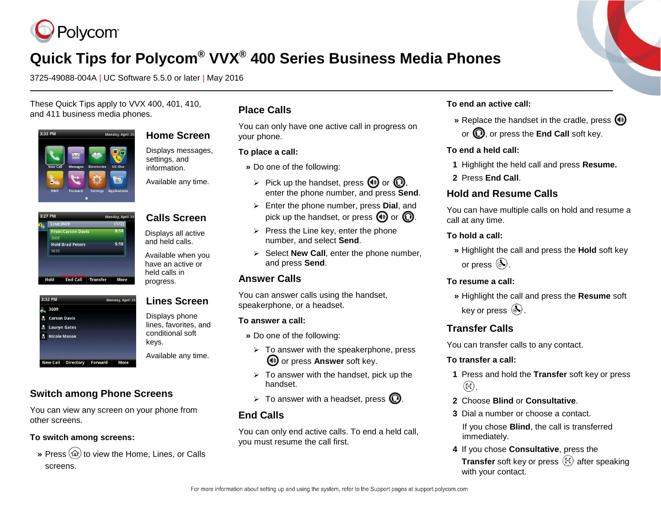

# **Quick Tips for Polycom® VVX® 400 Series Business Media Phones**

3725-49088-004A | UC Software 5.5.0 or later | May 2016

These Quick Tips apply to VVX 400, 401, 410, and 411 business media phones.



| <b>Home Screen</b> |
|--------------------|
|                    |

Displays messages, settings, and information.

Available any time.

**Calls Screen** Displays all active and held calls. Available when you have an active or held calls in progress.

**Lines Screen** Displays phone lines, favorites, and conditional soft

Available any time.

keys.

#### Monday, April 2!  $(1/2)$  $0:14$ **From:Carson Davi**  $5:18$ **Hold:Brad Peters** 3610 **End Call Transfer** More

| 3:32 PM |                       |  | Monday, April |  |
|---------|-----------------------|--|---------------|--|
|         | 83609                 |  |               |  |
|         | <b>A</b> Carson Davis |  |               |  |
| м       | <b>Lauryn Gates</b>   |  |               |  |
|         | <b>A</b> Nicole Mason |  |               |  |

# **Switch among Phone Screens**

You can view any screen on your phone from other screens.

#### **To switch among screens:**

» Press  $\textcircled{a}$  to view the Home, Lines, or Calls screens.

# **Place Calls**

You can only have one active call in progress on your phone.

#### **To place a call:**

- **»** Do one of the following:
	- $\triangleright$  Pick up the handset, press  $\bigcirc$  or  $\bigcirc$ , enter the phone number, and press **Send**.
	- Enter the phone number, press **Dial**, and pick up the handset, or press  $\mathbf{\Theta}$  or  $\mathbf{\Omega}$ .
	- $\triangleright$  Press the Line key, enter the phone number, and select **Send**.
- $\triangleright$  Select **New Call**, enter the phone number, and press **Send**.

# **Answer Calls**

You can answer calls using the handset, speakerphone, or a headset.

#### **To answer a call:**

- **»** Do one of the following:
	- $\triangleright$  To answer with the speakerphone, press **<sup>4</sup>** or press **Answer** soft key.
- $\triangleright$  To answer with the handset, pick up the handset.
- $\triangleright$  To answer with a headset, press  $\mathbb{Q}$ .

# **End Calls**

You can only end active calls. To end a held call, you must resume the call first.

#### **To end an active call:**

**»** Replace the handset in the cradle, press  $\textcircled{\tiny{\textcircled{\tiny{\textcirc}}}}$ or  $\mathbf{\Omega}$ , or press the **End Call** soft key.

#### **To end a held call:**

- **1** Highlight the held call and press **Resume.**
- **2** Press **End Call**.

### **Hold and Resume Calls**

You can have multiple calls on hold and resume a call at any time.

#### **To hold a call:**

**»** Highlight the call and press the **Hold** soft key or press  $\circledast$ .

#### **To resume a call:**

**»** Highlight the call and press the **Resume** soft key or press  $(\mathbb{A})$ .

# **Transfer Calls**

You can transfer calls to any contact.

#### **To transfer a call:**

- **1** Press and hold the **Transfer** soft key or press  $\left(\widehat{F}\right)$ .
- **2** Choose **Blind** or **Consultative**.
- **3** Dial a number or choose a contact.

If you chose **Blind**, the call is transferred immediately.

**4** If you chose **Consultative**, press the **Transfer** soft key or press ( $f$ ) after speaking with your contact.